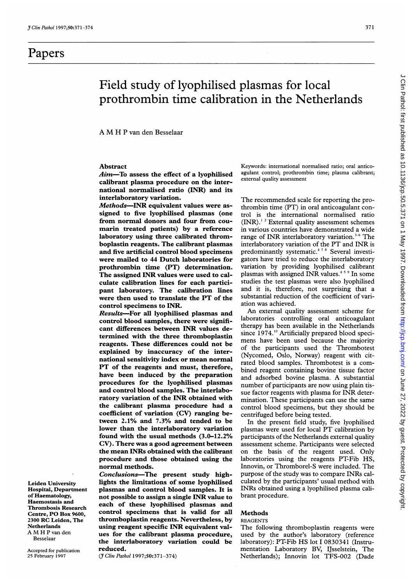Leiden University Hospital, Department of Haematology, Haemostasis and Thrombosis Research Centre, PO Box 9600, <sup>2300</sup> RC Leiden, The Netherlands A M H <sup>P</sup> van den Besselaar

Accepted for publication 25 February 1997

# Field study of lyophilised plasmas for local prothrombin time calibration in the Netherlands

A M H <sup>P</sup> van den Besselaar

## Abstract

Aim-To assess the effect of a lyophilised calibrant plasma procedure on the international normalised ratio (INR) and its interlaboratory variation.

Methods-INR equivalent values were assigned to five lyophilised plasmas (one from normal donors and four from coumarin treated patients) by a reference laboratory using three calibrated thromboplastin reagents. The calibrant plasmas and five artificial control blood specimens were mailed to 44 Dutch laboratories for prothrombin time (PT) determination. The assigned INR values were used to calculate calibration lines for each participant laboratory. The calibration lines were then used to translate the PT of the control specimens to INR.

Results-For all lyophilised plasmas and control blood samples, there were significant differences between INR values determined with the three thromboplastin reagents. These differences could not be explained by inaccuracy of the international sensitivity index or mean normal PT of the reagents and must, therefore, have been induced by the preparation procedures for the lyophilised plasmas and control blood samples. The interlaboratory variation of the INR obtained with the calibrant plasma procedure had a coefficient of variation (CV) ranging between 2.1% and 7.3% and tended to be lower than the interlaboratory variation found with the usual methods (3.0-12.2% CV). There was a good agreement between the mean INRs obtained with the calibrant procedure and those obtained using the normal methods.

Conclusions-The present study highlights the limitations of some lyophilised plasmas and control blood samples. It is not possible to assign a single INR value to each of these lyophilised plasmas and control specimens that is valid for all thromboplastin reagents. Nevertheless, by using reagent specific INR equivalent values for the calibrant plasma procedure, the interlaboratory variation could be reduced.

(7 Clin Pathol 1997;50:371-374)

Keywords: international normalised ratio; oral anticoagulant control; prothrombin time; plasma calibrant; external quality assessment

The recommended scale for reporting the prothrombin time (PT) in oral anticoagulant control is the international normalised ratio  $(INR).$ <sup>12</sup> External quality assessment schemes in various countries have demonstrated a wide range of INR interlaboratory variation.<sup>3-6</sup> The interlaboratory variation of the PT and INR is predominantly systematic.<sup>478</sup> Several investigators have tried to reduce the interlaboratory variation by providing lyophilised calibrant plasmas with assigned INR values.4 <sup>5</sup> <sup>9</sup> In some studies the test plasmas were also lyophilised and it is, therefore, not surprising that a substantial reduction of the coefficient of variation was achieved.

An external quality assessment scheme for laboratories controlling oral anticoagulant therapy has been available in the Netherlands since 1974.<sup>10</sup> Artificially prepared blood specimens have been used because the majority of the participants used the Thrombotest (Nycomed, Oslo, Norway) reagent with citrated blood samples. Thrombotest is a combined reagent containing bovine tissue factor and adsorbed bovine plasma. A substantial number of participants are now using plain tissue factor reagents with plasma for INR determination. These participants can use the same control blood specimens, but they should be centrifuged before being tested.

In the present field study, five lyophilised plasmas were used for local PT calibration by participants of the Netherlands external quality assessment scheme. Participants were selected on the basis of the reagent used. Only laboratories using the reagents PT-Fib HS, Innovin, or Thromborel-S were included. The purpose of the study was to compare INRs calculated by the participants' usual method with INRs obtained using a lyophilised plasma calibrant procedure.

#### Methods REAGENTS

The following thromboplastin reagents were used by the author's laboratory (reference laboratory): PT-Fib HS lot <sup>I</sup> 0830341 (Instrumentation Laboratory BV, IJsselstein, The Netherlands); Innovin lot TFS-002 (Dade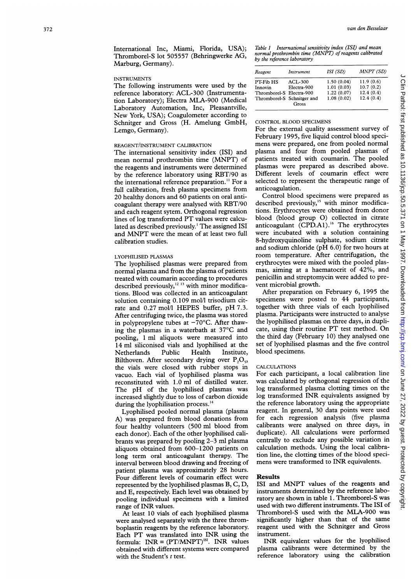International Inc, Miami, Florida, USA); Thromborel-S lot 505557 (Behringwerke AG, Marburg, Germany).

### INSTRUMENTS

The following instruments were used by the reference laboratory: ACL-300 (Instrumentation Laboratory); Electra MLA-900 (Medical Laboratory Automation, Inc, Pleasantville, New York, USA); Coagulometer according to Schnitger and Gross (H. Amelung GmbH, Lemgo, Germany).

## REAGENT/INSTRUMENT CALIBRATION

The international sensitivity index (ISI) and mean normal prothrombin time (MNPT) of the reagents and instruments were determined by the reference laboratory using RBT/90 as the international reference preparation." For a full calibration, fresh plasma specimens from 20 healthy donors and 60 patients on oral anticoagulant therapy were analysed with RBT/90 and each reagent sytem. Orthogonal regression lines of log transformed PT values were calculated as described previously.' The assigned ISI and MNPT were the mean of at least two full calibration studies.

#### LYOPHILISED PLASMAS

The lyophilised plasmas were prepared from normal plasma and from the plasma of patients treated with coumarin according to procedures described previously,<sup>12 13</sup> with minor modifications. Blood was collected in an anticoagulant solution containing 0.109 mol/l trisodium citrate and 0.27 mol/l HEPES buffer, pH 7.3. After centrifuging twice, the plasma was stored in polypropylene tubes at  $-70^{\circ}$ C. After thawing the plasmas in a waterbath at 37°C and pooling, <sup>1</sup> ml aliquots were measured into 14 ml siliconised vials and lyophilised at the Netherlands Public Health Institute, Bilthoven. After secondary drying over  $P_2O_5$ , the vials were closed with rubber stops in vacuo. Each vial of lyophilised plasma was reconstituted with 1.0 ml of distilled water. The pH of the lyophilised plasmas was increased slightly due to loss of carbon dioxide during the lyophilisation process.<sup>1</sup>

Lyophilised pooled normal plasma (plasma A) was prepared from blood donations from four healthy volunteers (500 ml blood from each donor). Each of the other lyophilised calibrants was prepared by pooling 2-3 ml plasma aliquots obtained from 600-1200 patients on long term oral anticoagulant therapy. The interval between blood drawing and freezing of patient plasma was approximately 28 hours. Four different levels of coumarin effect were represented by the lyophilised plasmas B, C, D, and E, respectively. Each level was obtained by pooling individual specimens with a limited range of INR values.

At least 10 vials of each lyophilised plasma were analysed separately with the three thromboplastin reagents by the reference laboratory. Each PT was translated into INR using the formula:  $INR = (PT/MNPT)^{ISI}$ . INR values obtained with different systems were compared with the Student's *t* test.

Table <sup>I</sup> International sensitivity index (ISI) and mean normal prothrombin time (MNPT) of reagents calibrated by the reference laboratory

| Reagent                    | Instrument     | ISI (SD)   | MNPT (SD) |
|----------------------------|----------------|------------|-----------|
| PT-Fib HS                  | <b>ACL-300</b> | 1.50(0.04) | 11.9(0.6) |
| Innovin                    | Electra-900    | 1.01(0.03) | 10.7(0.2) |
| Thromborel-S Electra-900   |                | 1.22(0.07) | 12.4(0.4) |
| Thromborel-S Schnitger and | Gross          | 1.08(0.02) | 12.4(0.4) |

#### CONTROL BLOOD SPECIMENS

For the external quality assessment survey of February 1995, five liquid control blood specimens were prepared, one from pooled normal plasma and four from pooled plasmas of patients treated with coumarin. The pooled plasmas were prepared as described above. Different levels of coumarin effect were selected to represent the therapeutic range of anticoagulation.

Control blood specimens were prepared as described previously,<sup>15</sup> with minor modifications. Erythrocytes were obtained from donor blood (blood group 0) collected in citrate anticoagulant (CPD.A1).'6 The erythrocytes were incubated with a solution containing 8-hydroxyquinoline sulphate, sodium citrate and sodium chloride (pH 6.0) for two hours at room temperature. After centrifugation, the erythrocytes were mixed with the pooled plasmas, aiming at <sup>a</sup> haematocrit of 42%, and penicillin and streptomycin were added to prevent microbial growth.

After preparation on February 6, 1995 the specimens were posted to 44 participants, together with three vials of each lyophilised plasma. Participants were instructed to analyse the lyophilised plasmas on three days, in duplicate, using their routine PT test method. On the third day (February 10) they analysed one set of lyophilised plasmas and the five control blood specimens.

#### CALCULATIONS

For each participant, a local calibration line was calculated by orthogonal regression of the log transformed plasma clotting times on the log transformed INR equivalents assigned by the reference laboratory using the appropriate reagent. In general, 30 data points were used for each regression analysis (five plasma calibrants were analysed on three days, in duplicate). All calculations were performed centrally to exclude any possible variation in calculation methods. Using the local calibration line, the clotting times of the blood specimens were transformed to INR equivalents.

#### Results

ISI and MNPT values of the reagents and instruments determined by the reference laboratory are shown in table 1. Thromborel-S was used with two different instruments. The ISI of Thromborel-S used with the MIA-900 was significantly higher than that of the same reagent used with the Schnitger and Gross instrument.

INR equivalent values for the lyophilised plasma calibrants were determined by the reference laboratory using the calibration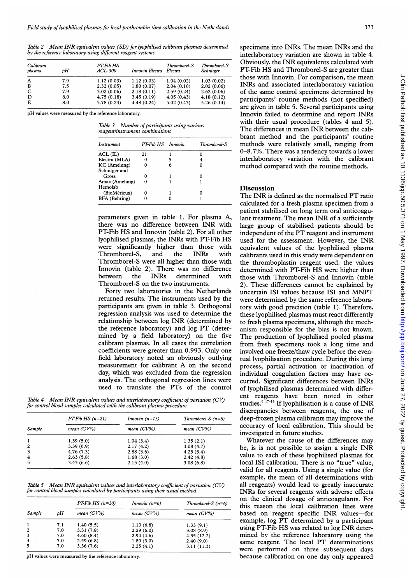Table 2 Mean INR equivalent values (SD) for lyophilised calibrant plasmas determined by the reference laboratory using different reagent systems

| Calibrant<br>plasma | рH  | PT-Fib HS<br><i>ACL-300</i> | Innovin Electra | Thromborel-S<br>Electra | Thromborel-S<br><i><b>Schnitger</b></i> |
|---------------------|-----|-----------------------------|-----------------|-------------------------|-----------------------------------------|
| A                   | 7.9 | 1.12(0.03)                  | 1.12(0.03)      | 1.04(0.02)              | 1.03(0.02)                              |
| В                   | 7.5 | 2.32(0.05)                  | 1.80(0.07)      | 2.04(0.10)              | 2.02(0.06)                              |
| C                   | 7.9 | 3.02(0.06)                  | 2.18(0.11)      | 2.59(0.24)              | 2.62(0.06)                              |
| D                   | 8.0 | 4.75(0.18)                  | 3.45(0.19)      | 4.05(0.43)              | 4.18(0.12)                              |
| E                   | 8.0 | 5.78(0.24)                  | 4.48(0.24)      | 5.02(0.43)              | 5.26(0.14)                              |

pH values were measured by the reference laboratory.

Table 3 Number of participants using various reagentlinstrument combinations

| Instrument     | PT-Fib HS Innovin | Thromborel-S |
|----------------|-------------------|--------------|
| $ACL$ (IL)     | 21                |              |
| Electra (MLA)  |                   |              |
| KC (Amelung)   |                   |              |
| Schnitger and  |                   |              |
| Gross          |                   |              |
| Amax (Amelung) | Ω                 |              |
| Hemolah        |                   |              |
| (BioMérieux)   |                   |              |
| BFA (Behring)  |                   |              |

parameters given in table 1. For plasma A, there was no difference between INR with PT-Fib HS and Innovin (table 2). For all other lyophilised plasmas, the INRs with PT-Fib HS were significantly higher than those with Thromborel-S, and the INRs with Thromborel-S were all higher than those with Innovin (table 2). There was no difference between the INRs determined with Thromborel-S on the two instruments.

Forty two laboratories in the Netherlands returned results. The instruments used by the participants are given in table 3. Orthogonal regression analysis was used to determine the relationship between log INR (determined by the reference laboratory) and log PT (determined by a field laboratory) on the five calibrant plasmas. In all cases the correlation coefficients were greater than 0.993. Only one field laboratory noted an obviously outlying measurement for calibrant A on the second day, which was excluded from the regression analysis. The orthogonal regression lines were used to translate the PTs of the control

Table 4 Mean INR equivalent values and interlaboratory coefficient of variation (CV) for control blood samples calculated with the calibrant plasma procedure

|                | $PT-Fib$ HS $(n=21)$ | Innovin $(n=15)$ | Thromborel-S $(n=6)$<br>mean $(CV\%)$ |  |
|----------------|----------------------|------------------|---------------------------------------|--|
| Sample         | mean $(CV\%)$        | mean $(CV\%)$    |                                       |  |
|                | 1.39(5.0)            | 1.04(3.4)        | 1.35(2.1)                             |  |
| $\overline{c}$ | 3.39(6.9)            | 2.17(4.2)        | 3.08(4.7)                             |  |
| 3              | 4.76(7.3)            | 2.88(3.6)        | 4.25(5.4)                             |  |
| 4              | 2.63(5.8)            | 1.68(3.0)        | 2.42(4.8)                             |  |
| 5              | 3.43(6.6)            | 2.15(4.0)        | 3.08(6.8)                             |  |

Table 5 Mean INR equivalent values and interlaboratory coefficient of variation (CV) for control blood samples calculated by participants using their usual method

|                | рH  | $PT-Fib$ HS $(n=20)$<br>mean $(CV\%)$ | Innovin $(n=6)$<br>mean $(CV\%)$ | Thromborel-S $(n=6)$<br>mean $(CV\%)$ |  |
|----------------|-----|---------------------------------------|----------------------------------|---------------------------------------|--|
| Sample         |     |                                       |                                  |                                       |  |
|                | 7.1 | 1.40(5.5)                             | 1.13(6.8)                        | 1.33(9.1)                             |  |
| $\overline{c}$ | 7.0 | 3.31(7.8)                             | 2.29(6.0)                        | 3.08(8.9)                             |  |
| 3              | 7.0 | 4.60(8.4)                             | 2.94(4.6)                        | 4.35(12.2)                            |  |
| $\overline{4}$ | 7.0 | 2.59(6.8)                             | 1.80(3.0)                        | 2.40(9.0)                             |  |
| 5              | 7.0 | 3.36(7.6)                             | 2.25(4.1)                        | 3.11(11.3)                            |  |

pH values were measured by the reference laboratory.

specimens into INRs. The mean INRs and the interlaboratory variation are shown in table 4. Obviously, the INR equivalents calculated with PT-Fib HS and Thromborel-S are greater than those with Innovin. For comparison, the mean INRs and associated interlaboratory variation of the same control specimens determined by participants' routine methods (not specified) are given in table 5. Several participants using Innovin failed to determine and report INRs with their usual procedure (tables 4 and 5). The differences in mean INR between the calibrant method and the participants' routine methods were relatively small, ranging from 0-8.7%. There was a tendency towards a lower interlaboratory variation with the calibrant method compared with the routine methods.

### Discussion

The INR is defined as the normalised PT ratio calculated for <sup>a</sup> fresh plasma specimen from <sup>a</sup> patient stabilised on long term oral anticoagulant treatment. The mean INR of <sup>a</sup> sufficiently large group of stabilised patients should be independent of the PT reagent and instrument used for the assessment. However, the INR equivalent values of the lyophilised plasma calibrants used in this study were dependent on the thromboplastin reagent used: the values determined with PT-Fib HS were higher than those with Thromborel-S and Innovin (table 2). These differences cannot be explained by uncertain ISI values because ISI and MNPT were determined by the same reference laboratory with good precision (table 1). Therefore, these lyophilised plasmas must react differently to fresh plasma specimens, although the mechanism responsible for the bias is not known. The production of lyophilised pooled plasma from fresh specimens took a long time and involved one freeze/thaw cycle before the eventual lyophilisation procedure. During this long process, partial activation or inactivation of individual coagulation factors may have occurred. Significant differences between INRs of lyophilised plasmas determined with different reagents have been noted in other studies. $6\overline{17-19}$  If lyophilisation is a cause of INR discrepancies between reagents, the use of deep-frozen plasma calibrants may improve the accuracy of local calibration. This should be investigated in future studies.

Whatever the cause of the differences may be, is is not possible to assign <sup>a</sup> single INR value to each of these lyophilised plasmas for local ISI calibration. There is no "true" value, valid for all reagents. Using a single value (for example, the mean of all determinations with all reagents) would lead to greatly inaccurate INRs for several reagents with adverse effects on the clinical dosage of anticoagulants. For this reason the local calibration lines were based on reagent specific INR values-for example, log PT determined by <sup>a</sup> participant using PT-Fib HS was related to log INR determined by the reference laboratory using the same reagent. The local PT determinations were performed on three subsequent days because calibration on one day only appeared